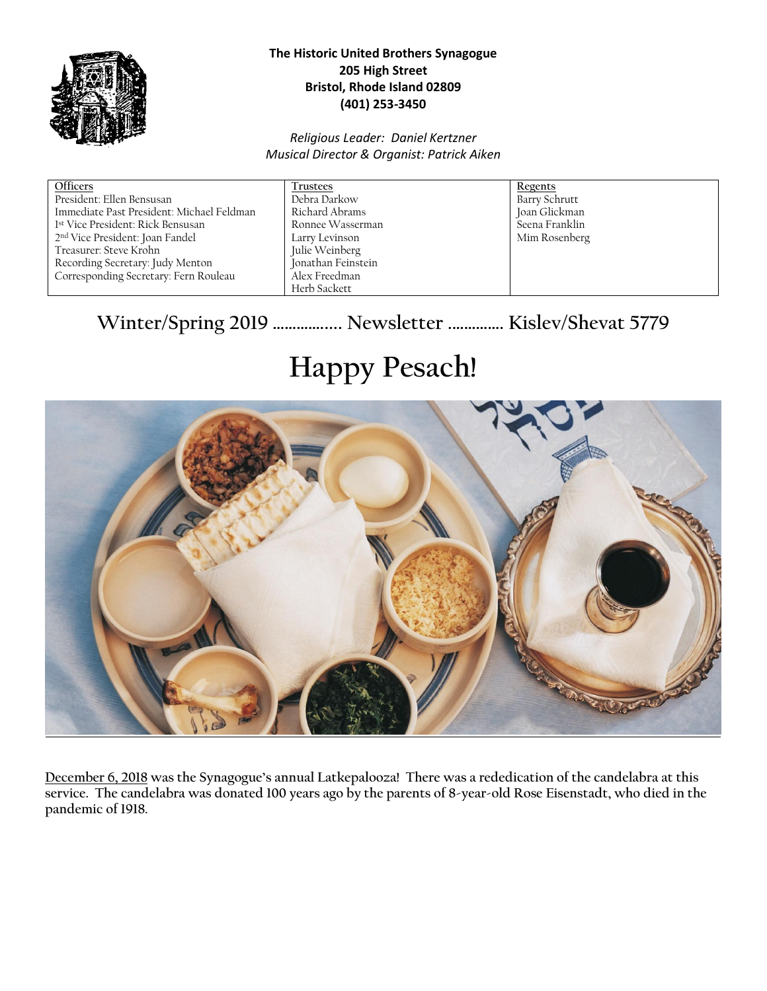

#### **The Historic United Brothers Synagogue 205 High Street Bristol, Rhode Island 02809 (401) 253-3450**

#### *Religious Leader: Daniel Kertzner Musical Director & Organist: Patrick Aiken*

| <b>Officers</b>                             |
|---------------------------------------------|
| President: Ellen Bensusan                   |
| Immediate Past President: Michael Feldman   |
| 1st Vice President: Rick Bensusan           |
| 2 <sup>nd</sup> Vice President: Joan Fandel |
| Treasurer: Steve Krohn                      |
| Recording Secretary: Judy Menton            |
| Corresponding Secretary: Fern Rouleau       |
|                                             |

**Trustees** Debra Darkow Richard Abrams Ronnee Wasserman Larry Levinson Julie Weinberg Jonathan Feinstein Alex Freedman Herb Sackett

**Regents** Barry Schrutt Joan Glickman Seena Franklin Mim Rosenberg

# **Winter/Spring 2019 …………..... Newsletter .…………. Kislev/Shevat 5779**

# **Happy Pesach!**



**December 6, 2018 was the Synagogue's annual Latkepalooza! There was a rededication of the candelabra at this service. The candelabra was donated 100 years ago by the parents of 8-year-old Rose Eisenstadt, who died in the pandemic of 1918.**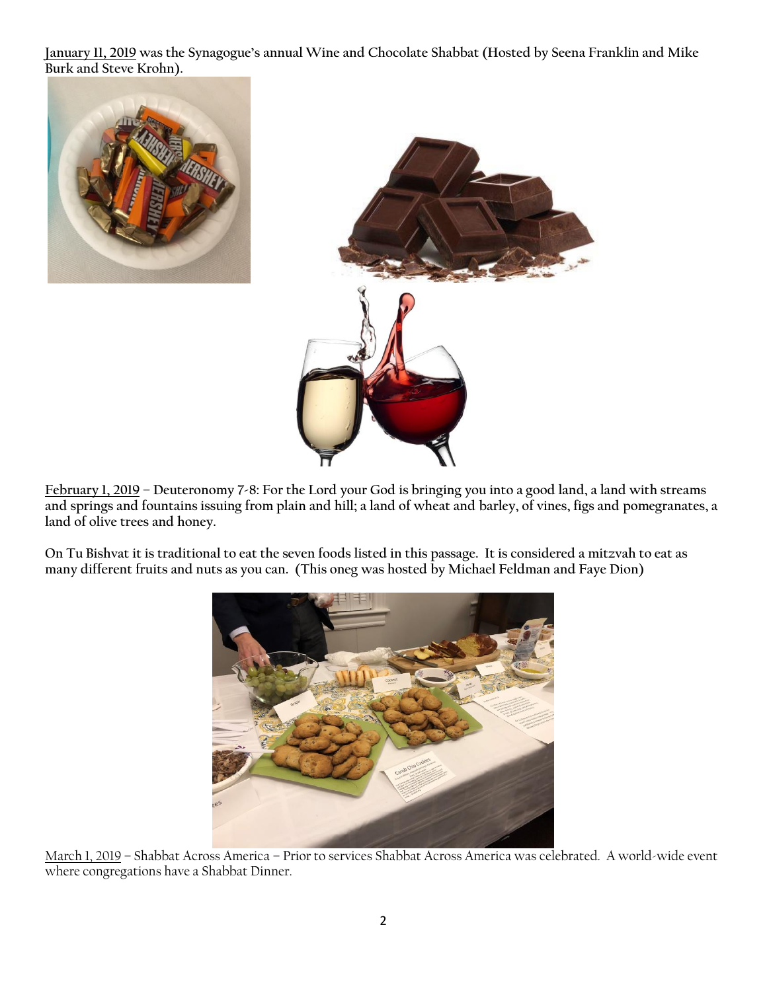**January 11, 2019 was the Synagogue's annual Wine and Chocolate Shabbat (Hosted by Seena Franklin and Mike Burk and Steve Krohn).** 





**February 1, 2019 – Deuteronomy 7-8: For the Lord your God is bringing you into a good land, a land with streams and springs and fountains issuing from plain and hill; a land of wheat and barley, of vines, figs and pomegranates, a land of olive trees and honey.**

**On Tu Bishvat it is traditional to eat the seven foods listed in this passage. It is considered a mitzvah to eat as many different fruits and nuts as you can. (This oneg was hosted by Michael Feldman and Faye Dion)**



March 1, 2019 – Shabbat Across America – Prior to services Shabbat Across America was celebrated. A world-wide event where congregations have a Shabbat Dinner.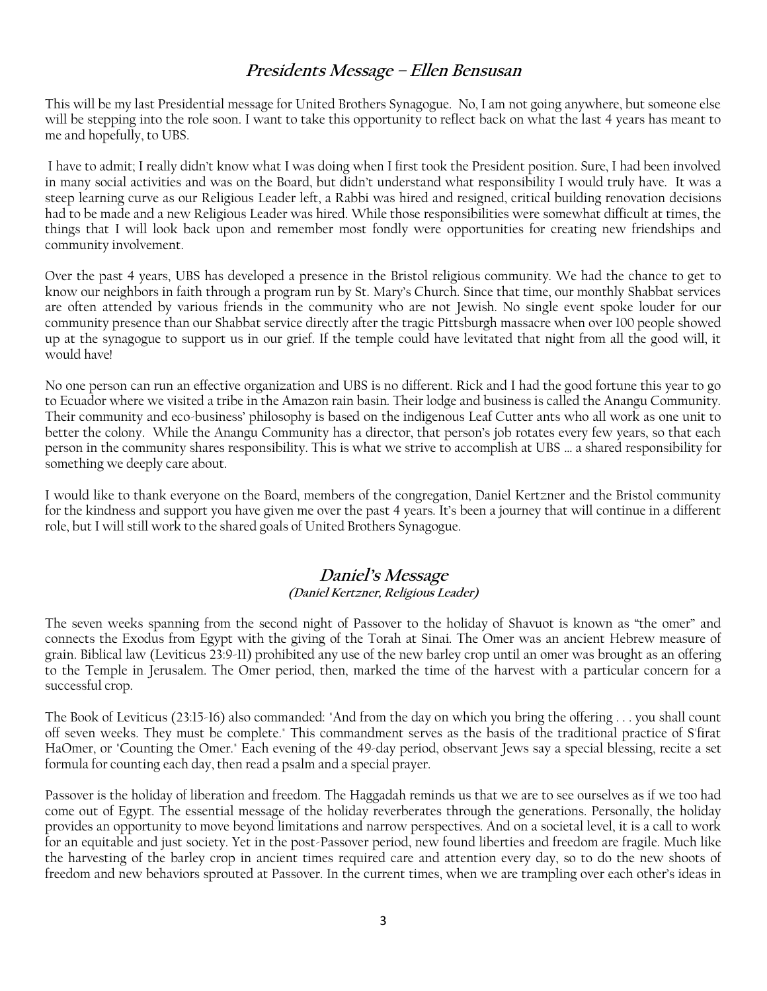#### **Presidents Message – Ellen Bensusan**

This will be my last Presidential message for United Brothers Synagogue. No, I am not going anywhere, but someone else will be stepping into the role soon. I want to take this opportunity to reflect back on what the last 4 years has meant to me and hopefully, to UBS.

I have to admit; I really didn't know what I was doing when I first took the President position. Sure, I had been involved in many social activities and was on the Board, but didn't understand what responsibility I would truly have. It was a steep learning curve as our Religious Leader left, a Rabbi was hired and resigned, critical building renovation decisions had to be made and a new Religious Leader was hired. While those responsibilities were somewhat difficult at times, the things that I will look back upon and remember most fondly were opportunities for creating new friendships and community involvement.

Over the past 4 years, UBS has developed a presence in the Bristol religious community. We had the chance to get to know our neighbors in faith through a program run by St. Mary's Church. Since that time, our monthly Shabbat services are often attended by various friends in the community who are not Jewish. No single event spoke louder for our community presence than our Shabbat service directly after the tragic Pittsburgh massacre when over 100 people showed up at the synagogue to support us in our grief. If the temple could have levitated that night from all the good will, it would have!

No one person can run an effective organization and UBS is no different. Rick and I had the good fortune this year to go to Ecuador where we visited a tribe in the Amazon rain basin. Their lodge and business is called the Anangu Community. Their community and eco-business' philosophy is based on the indigenous Leaf Cutter ants who all work as one unit to better the colony. While the Anangu Community has a director, that person's job rotates every few years, so that each person in the community shares responsibility. This is what we strive to accomplish at UBS … a shared responsibility for something we deeply care about.

I would like to thank everyone on the Board, members of the congregation, Daniel Kertzner and the Bristol community for the kindness and support you have given me over the past 4 years. It's been a journey that will continue in a different role, but I will still work to the shared goals of United Brothers Synagogue.

#### **Daniel's Message (Daniel Kertzner, Religious Leader)**

The seven weeks spanning from the second night of Passover to the holiday of Shavuot is known as "the omer" and connects the Exodus from Egypt with the giving of the Torah at Sinai. The Omer was an ancient Hebrew measure of grain. Biblical law (Leviticus 23:9-11) prohibited any use of the new barley crop until an omer was brought as an offering to the Temple in Jerusalem. The Omer period, then, marked the time of the harvest with a particular concern for a successful crop.

The Book of Leviticus (23:15-16) also commanded: "And from the day on which you bring the offering . . . you shall count off seven weeks. They must be complete." This commandment serves as the basis of the traditional practice of S'firat HaOmer, or "Counting the Omer." Each evening of the 49-day period, observant Jews say a special blessing, recite a set formula for counting each day, then read a psalm and a special prayer.

Passover is the holiday of liberation and freedom. The Haggadah reminds us that we are to see ourselves as if we too had come out of Egypt. The essential message of the holiday reverberates through the generations. Personally, the holiday provides an opportunity to move beyond limitations and narrow perspectives. And on a societal level, it is a call to work for an equitable and just society. Yet in the post-Passover period, new found liberties and freedom are fragile. Much like the harvesting of the barley crop in ancient times required care and attention every day, so to do the new shoots of freedom and new behaviors sprouted at Passover. In the current times, when we are trampling over each other's ideas in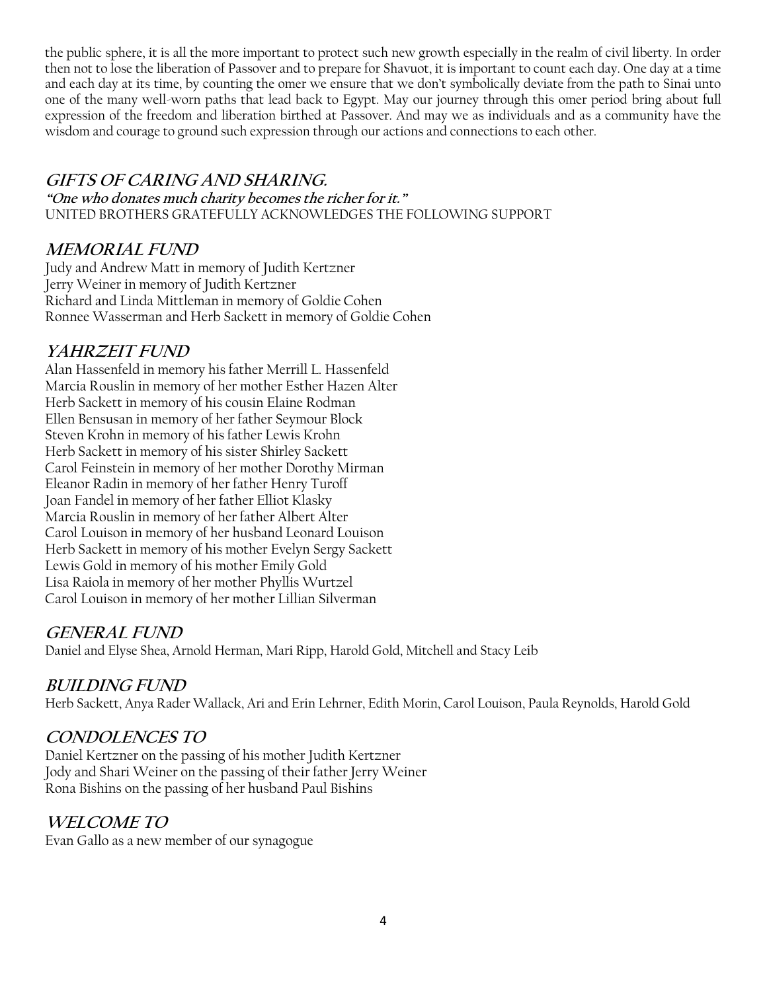the public sphere, it is all the more important to protect such new growth especially in the realm of civil liberty. In order then not to lose the liberation of Passover and to prepare for Shavuot, it is important to count each day. One day at a time and each day at its time, by counting the omer we ensure that we don't symbolically deviate from the path to Sinai unto one of the many well-worn paths that lead back to Egypt. May our journey through this omer period bring about full expression of the freedom and liberation birthed at Passover. And may we as individuals and as a community have the wisdom and courage to ground such expression through our actions and connections to each other.

# **GIFTS OF CARING AND SHARING.**

**"One who donates much charity becomes the richer for it."** UNITED BROTHERS GRATEFULLY ACKNOWLEDGES THE FOLLOWING SUPPORT

### **MEMORIAL FUND**

Judy and Andrew Matt in memory of Judith Kertzner Jerry Weiner in memory of Judith Kertzner Richard and Linda Mittleman in memory of Goldie Cohen Ronnee Wasserman and Herb Sackett in memory of Goldie Cohen

#### **YAHRZEIT FUND**

Alan Hassenfeld in memory his father Merrill L. Hassenfeld Marcia Rouslin in memory of her mother Esther Hazen Alter Herb Sackett in memory of his cousin Elaine Rodman Ellen Bensusan in memory of her father Seymour Block Steven Krohn in memory of his father Lewis Krohn Herb Sackett in memory of his sister Shirley Sackett Carol Feinstein in memory of her mother Dorothy Mirman Eleanor Radin in memory of her father Henry Turoff Joan Fandel in memory of her father Elliot Klasky Marcia Rouslin in memory of her father Albert Alter Carol Louison in memory of her husband Leonard Louison Herb Sackett in memory of his mother Evelyn Sergy Sackett Lewis Gold in memory of his mother Emily Gold Lisa Raiola in memory of her mother Phyllis Wurtzel Carol Louison in memory of her mother Lillian Silverman

#### **GENERAL FUND**

Daniel and Elyse Shea, Arnold Herman, Mari Ripp, Harold Gold, Mitchell and Stacy Leib

#### **BUILDING FUND**

Herb Sackett, Anya Rader Wallack, Ari and Erin Lehrner, Edith Morin, Carol Louison, Paula Reynolds, Harold Gold

# **CONDOLENCES TO**

Daniel Kertzner on the passing of his mother Judith Kertzner Jody and Shari Weiner on the passing of their father Jerry Weiner Rona Bishins on the passing of her husband Paul Bishins

# **WELCOME TO**

Evan Gallo as a new member of our synagogue